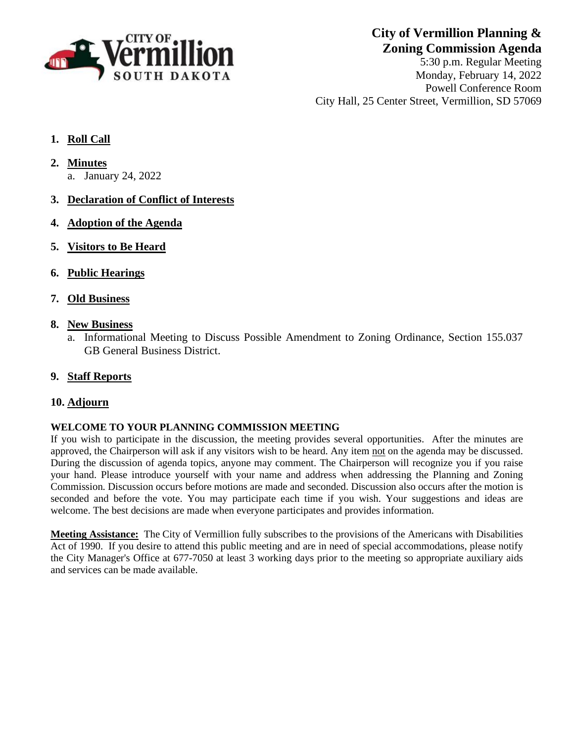

**City of Vermillion Planning & Zoning Commission Agenda**

5:30 p.m. Regular Meeting Monday, February 14, 2022 Powell Conference Room City Hall, 25 Center Street, Vermillion, SD 57069

- **1. Roll Call**
- **2. Minutes**
	- a. January 24, 2022
- **3. Declaration of Conflict of Interests**
- **4. Adoption of the Agenda**
- **5. Visitors to Be Heard**
- **6. Public Hearings**
- **7. Old Business**
- **8. New Business**
	- a. Informational Meeting to Discuss Possible Amendment to Zoning Ordinance, Section 155.037 GB General Business District.
- **9. Staff Reports**

## **10. Adjourn**

### **WELCOME TO YOUR PLANNING COMMISSION MEETING**

If you wish to participate in the discussion, the meeting provides several opportunities. After the minutes are approved, the Chairperson will ask if any visitors wish to be heard. Any item not on the agenda may be discussed. During the discussion of agenda topics, anyone may comment. The Chairperson will recognize you if you raise your hand. Please introduce yourself with your name and address when addressing the Planning and Zoning Commission. Discussion occurs before motions are made and seconded. Discussion also occurs after the motion is seconded and before the vote. You may participate each time if you wish. Your suggestions and ideas are welcome. The best decisions are made when everyone participates and provides information.

**Meeting Assistance:** The City of Vermillion fully subscribes to the provisions of the Americans with Disabilities Act of 1990. If you desire to attend this public meeting and are in need of special accommodations, please notify the City Manager's Office at 677-7050 at least 3 working days prior to the meeting so appropriate auxiliary aids and services can be made available.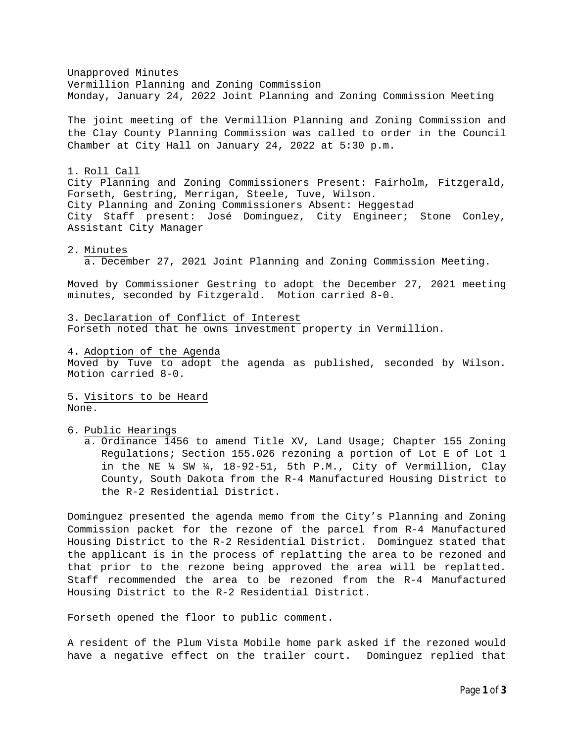Unapproved Minutes Vermillion Planning and Zoning Commission Monday, January 24, 2022 Joint Planning and Zoning Commission Meeting

The joint meeting of the Vermillion Planning and Zoning Commission and the Clay County Planning Commission was called to order in the Council Chamber at City Hall on January 24, 2022 at 5:30 p.m.

#### 1. Roll Call

City Planning and Zoning Commissioners Present: Fairholm, Fitzgerald, Forseth, Gestring, Merrigan, Steele, Tuve, Wilson. City Planning and Zoning Commissioners Absent: Heggestad City Staff present: José Domínguez, City Engineer; Stone Conley, Assistant City Manager

#### 2. Minutes

a. December 27, 2021 Joint Planning and Zoning Commission Meeting.

Moved by Commissioner Gestring to adopt the December 27, 2021 meeting minutes, seconded by Fitzgerald. Motion carried 8-0.

3. Declaration of Conflict of Interest Forseth noted that he owns investment property in Vermillion.

4. Adoption of the Agenda

Moved by Tuve to adopt the agenda as published, seconded by Wilson. Motion carried 8-0.

5. Visitors to be Heard None.

6. Public Hearings

a. Ordinance 1456 to amend Title XV, Land Usage; Chapter 155 Zoning Regulations; Section 155.026 rezoning a portion of Lot E of Lot 1 in the NE  $\frac{1}{4}$  SW  $\frac{1}{4}$ , 18-92-51, 5th P.M., City of Vermillion, Clay County, South Dakota from the R-4 Manufactured Housing District to the R-2 Residential District.

Dominguez presented the agenda memo from the City's Planning and Zoning Commission packet for the rezone of the parcel from R-4 Manufactured Housing District to the R-2 Residential District. Dominguez stated that the applicant is in the process of replatting the area to be rezoned and that prior to the rezone being approved the area will be replatted. Staff recommended the area to be rezoned from the R-4 Manufactured Housing District to the R-2 Residential District.

Forseth opened the floor to public comment.

A resident of the Plum Vista Mobile home park asked if the rezoned would have a negative effect on the trailer court. Dominguez replied that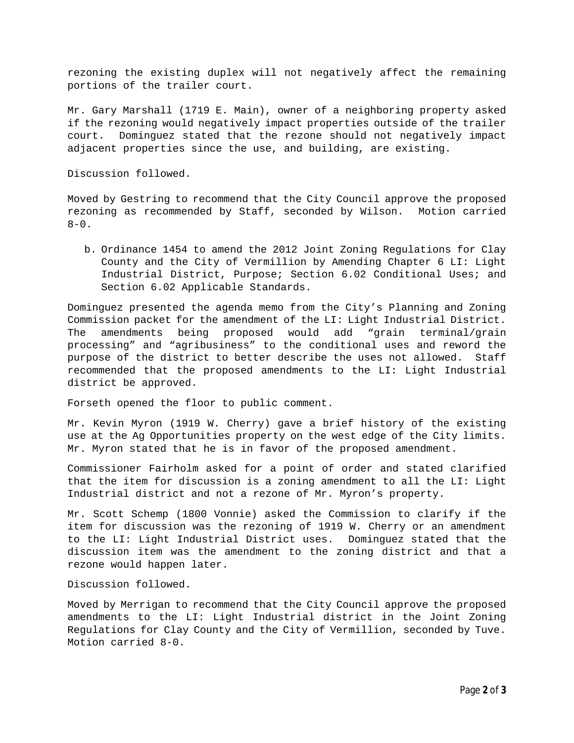rezoning the existing duplex will not negatively affect the remaining portions of the trailer court.

Mr. Gary Marshall (1719 E. Main), owner of a neighboring property asked if the rezoning would negatively impact properties outside of the trailer court. Dominguez stated that the rezone should not negatively impact adjacent properties since the use, and building, are existing.

Discussion followed.

Moved by Gestring to recommend that the City Council approve the proposed rezoning as recommended by Staff, seconded by Wilson. Motion carried  $8 - 0$ .

b. Ordinance 1454 to amend the 2012 Joint Zoning Regulations for Clay County and the City of Vermillion by Amending Chapter 6 LI: Light Industrial District, Purpose; Section 6.02 Conditional Uses; and Section 6.02 Applicable Standards.

Dominguez presented the agenda memo from the City's Planning and Zoning Commission packet for the amendment of the LI: Light Industrial District. The amendments being proposed would add "grain terminal/grain processing" and "agribusiness" to the conditional uses and reword the purpose of the district to better describe the uses not allowed. Staff recommended that the proposed amendments to the LI: Light Industrial district be approved.

Forseth opened the floor to public comment.

Mr. Kevin Myron (1919 W. Cherry) gave a brief history of the existing use at the Ag Opportunities property on the west edge of the City limits. Mr. Myron stated that he is in favor of the proposed amendment.

Commissioner Fairholm asked for a point of order and stated clarified that the item for discussion is a zoning amendment to all the LI: Light Industrial district and not a rezone of Mr. Myron's property.

Mr. Scott Schemp (1800 Vonnie) asked the Commission to clarify if the item for discussion was the rezoning of 1919 W. Cherry or an amendment to the LI: Light Industrial District uses. Dominguez stated that the discussion item was the amendment to the zoning district and that a rezone would happen later.

Discussion followed.

Moved by Merrigan to recommend that the City Council approve the proposed amendments to the LI: Light Industrial district in the Joint Zoning Regulations for Clay County and the City of Vermillion, seconded by Tuve. Motion carried 8-0.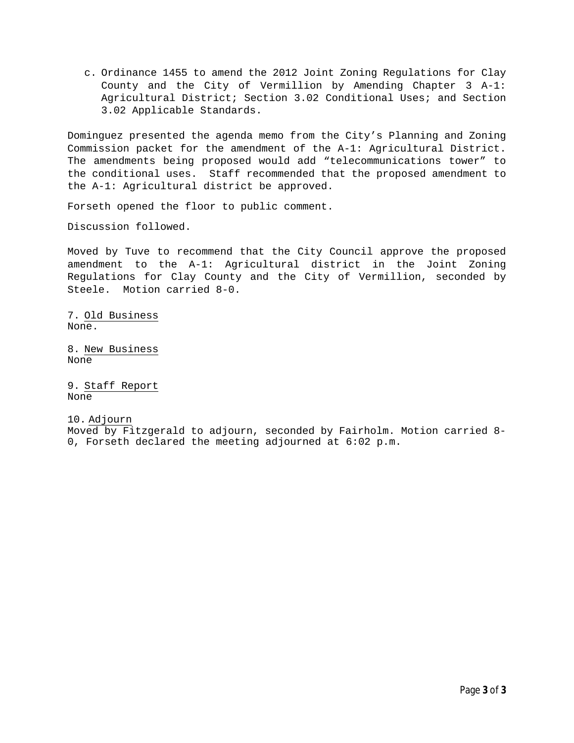c. Ordinance 1455 to amend the 2012 Joint Zoning Regulations for Clay County and the City of Vermillion by Amending Chapter 3 A-1: Agricultural District; Section 3.02 Conditional Uses; and Section 3.02 Applicable Standards.

Dominguez presented the agenda memo from the City's Planning and Zoning Commission packet for the amendment of the A-1: Agricultural District. The amendments being proposed would add "telecommunications tower" to the conditional uses. Staff recommended that the proposed amendment to the A-1: Agricultural district be approved.

Forseth opened the floor to public comment.

Discussion followed.

Moved by Tuve to recommend that the City Council approve the proposed amendment to the A-1: Agricultural district in the Joint Zoning Regulations for Clay County and the City of Vermillion, seconded by Steele. Motion carried 8-0.

7. Old Business None.

8. New Business None

9. Staff Report None

10. Adjourn Moved by Fitzgerald to adjourn, seconded by Fairholm. Motion carried 8- 0, Forseth declared the meeting adjourned at 6:02 p.m.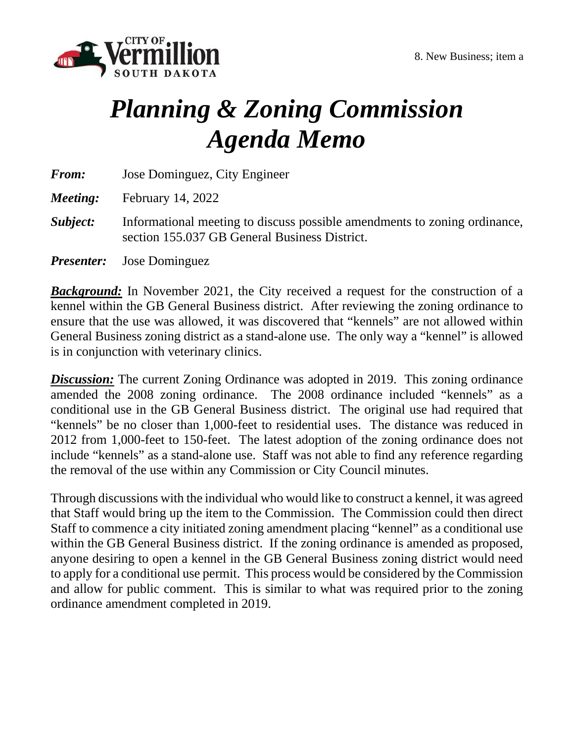

# *Planning & Zoning Commission Agenda Memo*

*From:* Jose Dominguez, City Engineer

*Meeting:* February 14, 2022

*Subject:* Informational meeting to discuss possible amendments to zoning ordinance, section 155.037 GB General Business District.

*Presenter:* Jose Dominguez

**Background:** In November 2021, the City received a request for the construction of a kennel within the GB General Business district. After reviewing the zoning ordinance to ensure that the use was allowed, it was discovered that "kennels" are not allowed within General Business zoning district as a stand-alone use. The only way a "kennel" is allowed is in conjunction with veterinary clinics.

**Discussion:** The current Zoning Ordinance was adopted in 2019. This zoning ordinance amended the 2008 zoning ordinance. The 2008 ordinance included "kennels" as a conditional use in the GB General Business district. The original use had required that "kennels" be no closer than 1,000-feet to residential uses. The distance was reduced in 2012 from 1,000-feet to 150-feet. The latest adoption of the zoning ordinance does not include "kennels" as a stand-alone use. Staff was not able to find any reference regarding the removal of the use within any Commission or City Council minutes.

Through discussions with the individual who would like to construct a kennel, it was agreed that Staff would bring up the item to the Commission. The Commission could then direct Staff to commence a city initiated zoning amendment placing "kennel" as a conditional use within the GB General Business district. If the zoning ordinance is amended as proposed, anyone desiring to open a kennel in the GB General Business zoning district would need to apply for a conditional use permit. This process would be considered by the Commission and allow for public comment. This is similar to what was required prior to the zoning ordinance amendment completed in 2019.